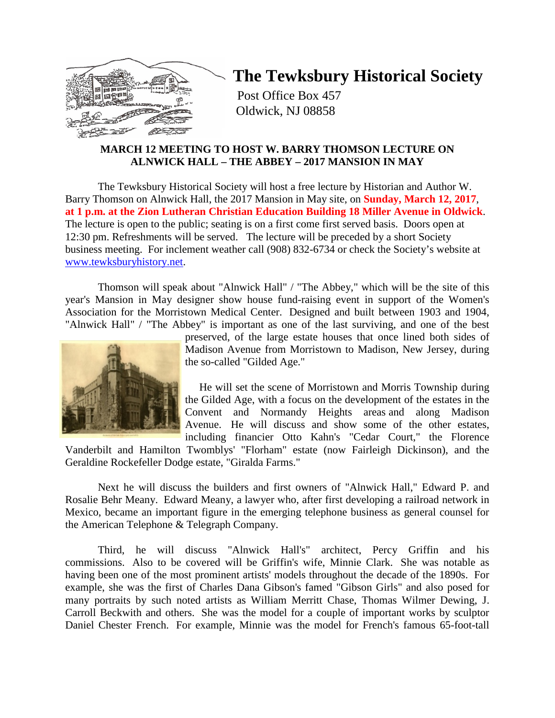

# **The Tewksbury Historical Society**

Post Office Box 457 Oldwick, NJ 08858

# **MARCH 12 MEETING TO HOST W. BARRY THOMSON LECTURE ON ALNWICK HALL – THE ABBEY – 2017 MANSION IN MAY**

The Tewksbury Historical Society will host a free lecture by Historian and Author W. Barry Thomson on Alnwick Hall, the 2017 Mansion in May site, on **Sunday, March 12, 2017**, **at 1 p.m. at the Zion Lutheran Christian Education Building 18 Miller Avenue in Oldwick**. The lecture is open to the public; seating is on a first come first served basis. Doors open at 12:30 pm. Refreshments will be served. The lecture will be preceded by a short Society business meeting. For inclement weather call (908) 832-6734 or check the Society's website at [www.tewksburyhistory.net.](http://www.tewksburyhistory.net/)

Thomson will speak about "Alnwick Hall" / "The Abbey," which will be the site of this year's Mansion in May designer show house fund-raising event in support of the Women's Association for the Morristown Medical Center. Designed and built between 1903 and 1904, "Alnwick Hall" / "The Abbey" is important as one of the last surviving, and one of the best



preserved, of the large estate houses that once lined both sides of Madison Avenue from Morristown to Madison, New Jersey, during the so-called "Gilded Age."

 He will set the scene of Morristown and Morris Township during the Gilded Age, with a focus on the development of the estates in the Convent and Normandy Heights areas and along Madison Avenue. He will discuss and show some of the other estates, including financier Otto Kahn's "Cedar Court," the Florence

Vanderbilt and Hamilton Twomblys' "Florham" estate (now Fairleigh Dickinson), and the Geraldine Rockefeller Dodge estate, "Giralda Farms."

Next he will discuss the builders and first owners of "Alnwick Hall," Edward P. and Rosalie Behr Meany. Edward Meany, a lawyer who, after first developing a railroad network in Mexico, became an important figure in the emerging telephone business as general counsel for the American Telephone & Telegraph Company.

Third, he will discuss "Alnwick Hall's" architect, Percy Griffin and his commissions. Also to be covered will be Griffin's wife, Minnie Clark. She was notable as having been one of the most prominent artists' models throughout the decade of the 1890s. For example, she was the first of Charles Dana Gibson's famed "Gibson Girls" and also posed for many portraits by such noted artists as William Merritt Chase, Thomas Wilmer Dewing, J. Carroll Beckwith and others. She was the model for a couple of important works by sculptor Daniel Chester French. For example, Minnie was the model for French's famous 65-foot-tall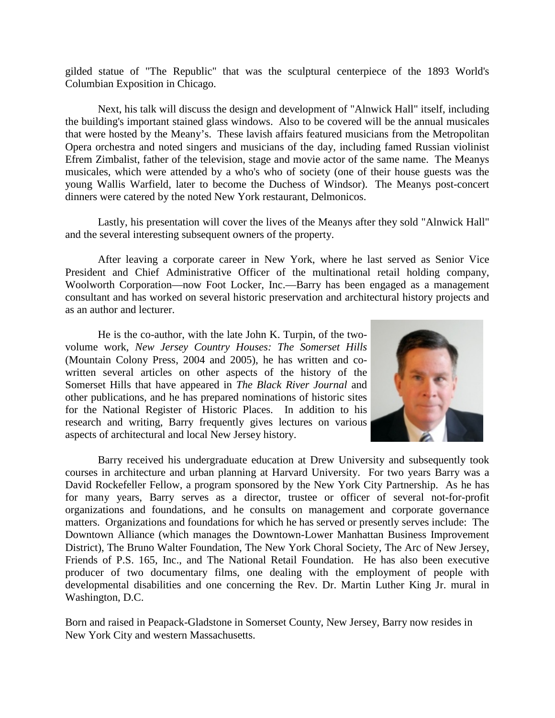gilded statue of "The Republic" that was the sculptural centerpiece of the 1893 World's Columbian Exposition in Chicago.

Next, his talk will discuss the design and development of "Alnwick Hall" itself, including the building's important stained glass windows. Also to be covered will be the annual musicales that were hosted by the Meany's. These lavish affairs featured musicians from the Metropolitan Opera orchestra and noted singers and musicians of the day, including famed Russian violinist Efrem Zimbalist, father of the television, stage and movie actor of the same name. The Meanys musicales, which were attended by a who's who of society (one of their house guests was the young Wallis Warfield, later to become the Duchess of Windsor). The Meanys post-concert dinners were catered by the noted New York restaurant, Delmonicos.

Lastly, his presentation will cover the lives of the Meanys after they sold "Alnwick Hall" and the several interesting subsequent owners of the property.

After leaving a corporate career in New York, where he last served as Senior Vice President and Chief Administrative Officer of the multinational retail holding company, Woolworth Corporation—now Foot Locker, Inc.—Barry has been engaged as a management consultant and has worked on several historic preservation and architectural history projects and as an author and lecturer.

He is the co-author, with the late John K. Turpin, of the twovolume work, *New Jersey Country Houses: The Somerset Hills* (Mountain Colony Press, 2004 and 2005), he has written and cowritten several articles on other aspects of the history of the Somerset Hills that have appeared in *The Black River Journal* and other publications, and he has prepared nominations of historic sites for the National Register of Historic Places. In addition to his research and writing, Barry frequently gives lectures on various aspects of architectural and local New Jersey history.



Barry received his undergraduate education at Drew University and subsequently took courses in architecture and urban planning at Harvard University. For two years Barry was a David Rockefeller Fellow, a program sponsored by the New York City Partnership. As he has for many years, Barry serves as a director, trustee or officer of several not-for-profit organizations and foundations, and he consults on management and corporate governance matters. Organizations and foundations for which he has served or presently serves include: The Downtown Alliance (which manages the Downtown-Lower Manhattan Business Improvement District), The Bruno Walter Foundation, The New York Choral Society, The Arc of New Jersey, Friends of P.S. 165, Inc., and The National Retail Foundation. He has also been executive producer of two documentary films, one dealing with the employment of people with developmental disabilities and one concerning the Rev. Dr. Martin Luther King Jr. mural in Washington, D.C.

Born and raised in Peapack-Gladstone in Somerset County, New Jersey, Barry now resides in New York City and western Massachusetts.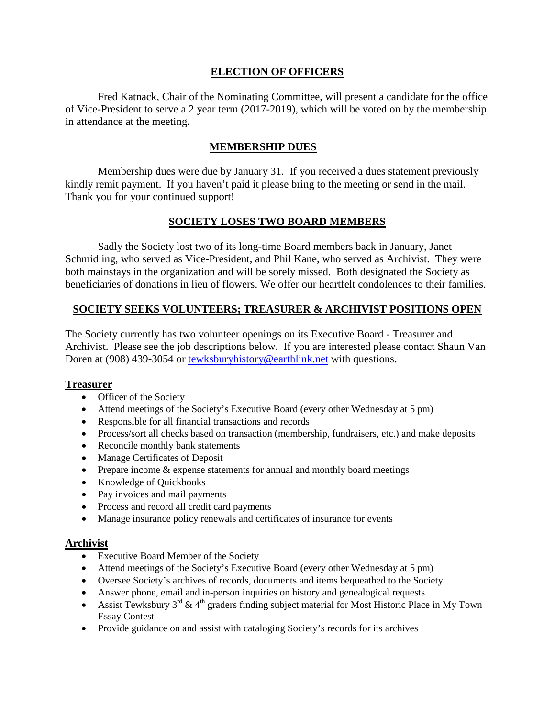# **ELECTION OF OFFICERS**

Fred Katnack, Chair of the Nominating Committee, will present a candidate for the office of Vice-President to serve a 2 year term (2017-2019), which will be voted on by the membership in attendance at the meeting.

# **MEMBERSHIP DUES**

Membership dues were due by January 31. If you received a dues statement previously kindly remit payment. If you haven't paid it please bring to the meeting or send in the mail. Thank you for your continued support!

# **SOCIETY LOSES TWO BOARD MEMBERS**

Sadly the Society lost two of its long-time Board members back in January, Janet Schmidling, who served as Vice-President, and Phil Kane, who served as Archivist. They were both mainstays in the organization and will be sorely missed. Both designated the Society as beneficiaries of donations in lieu of flowers. We offer our heartfelt condolences to their families.

# **SOCIETY SEEKS VOLUNTEERS; TREASURER & ARCHIVIST POSITIONS OPEN**

The Society currently has two volunteer openings on its Executive Board - Treasurer and Archivist. Please see the job descriptions below. If you are interested please contact Shaun Van Doren at (908) 439-3054 or [tewksburyhistory@earthlink.net](mailto:tewksburyhistory@earthlink.net) with questions.

# **Treasurer**

- Officer of the Society
- Attend meetings of the Society's Executive Board (every other Wednesday at 5 pm)
- Responsible for all financial transactions and records
- Process/sort all checks based on transaction (membership, fundraisers, etc.) and make deposits
- Reconcile monthly bank statements
- Manage Certificates of Deposit
- Prepare income & expense statements for annual and monthly board meetings
- Knowledge of Quickbooks
- Pay invoices and mail payments
- Process and record all credit card payments
- Manage insurance policy renewals and certificates of insurance for events

# **Archivist**

- Executive Board Member of the Society
- Attend meetings of the Society's Executive Board (every other Wednesday at 5 pm)
- Oversee Society's archives of records, documents and items bequeathed to the Society
- Answer phone, email and in-person inquiries on history and genealogical requests
- Assist Tewksbury  $3^{rd}$  &  $4^{th}$  graders finding subject material for Most Historic Place in My Town Essay Contest
- Provide guidance on and assist with cataloging Society's records for its archives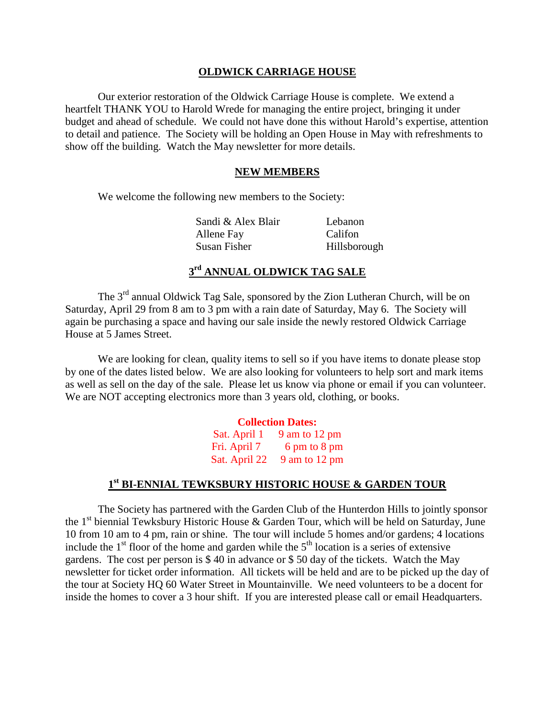#### **OLDWICK CARRIAGE HOUSE**

Our exterior restoration of the Oldwick Carriage House is complete. We extend a heartfelt THANK YOU to Harold Wrede for managing the entire project, bringing it under budget and ahead of schedule. We could not have done this without Harold's expertise, attention to detail and patience. The Society will be holding an Open House in May with refreshments to show off the building. Watch the May newsletter for more details.

#### **NEW MEMBERS**

We welcome the following new members to the Society:

Sandi & Alex Blair Lebanon Allene Fay Califon Susan Fisher Hillsborough

# **3rd ANNUAL OLDWICK TAG SALE**

The 3<sup>rd</sup> annual Oldwick Tag Sale, sponsored by the Zion Lutheran Church, will be on Saturday, April 29 from 8 am to 3 pm with a rain date of Saturday, May 6. The Society will again be purchasing a space and having our sale inside the newly restored Oldwick Carriage House at 5 James Street.

We are looking for clean, quality items to sell so if you have items to donate please stop by one of the dates listed below. We are also looking for volunteers to help sort and mark items as well as sell on the day of the sale. Please let us know via phone or email if you can volunteer. We are NOT accepting electronics more than 3 years old, clothing, or books.

# **Collection Dates:** Sat. April  $1 \quad 9$  am to  $12$  pm Fri. April 7 6 pm to 8 pm Sat. April 22 9 am to 12 pm

#### **1st BI-ENNIAL TEWKSBURY HISTORIC HOUSE & GARDEN TOUR**

The Society has partnered with the Garden Club of the Hunterdon Hills to jointly sponsor the  $1<sup>st</sup>$  biennial Tewksbury Historic House & Garden Tour, which will be held on Saturday, June 10 from 10 am to 4 pm, rain or shine. The tour will include 5 homes and/or gardens; 4 locations include the  $1<sup>st</sup>$  floor of the home and garden while the  $5<sup>th</sup>$  location is a series of extensive gardens. The cost per person is \$ 40 in advance or \$ 50 day of the tickets. Watch the May newsletter for ticket order information. All tickets will be held and are to be picked up the day of the tour at Society HQ 60 Water Street in Mountainville. We need volunteers to be a docent for inside the homes to cover a 3 hour shift. If you are interested please call or email Headquarters.